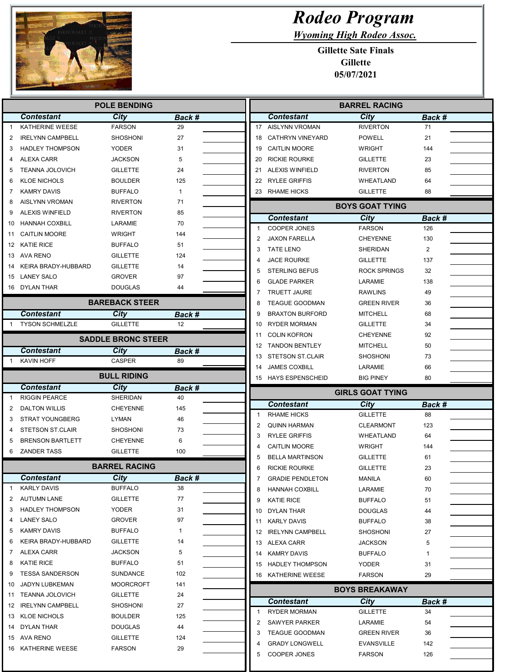

## Rodeo Program

Wyoming High Rodeo Assoc.

Gillette Sate Finals Gillette 05/07/2021

| <b>POLE BENDING</b> |                                   |                                  |               |                | <b>BARREL RACING</b>    |                         |                |  |
|---------------------|-----------------------------------|----------------------------------|---------------|----------------|-------------------------|-------------------------|----------------|--|
|                     | <b>Contestant</b>                 | <b>City</b>                      | Back #        |                | <b>Contestant</b>       | <b>City</b>             | Back #         |  |
| $\mathbf{1}$        | <b>KATHERINE WEESE</b>            | <b>FARSON</b>                    | 29            |                | 17 AISLYNN VROMAN       | <b>RIVERTON</b>         | 71             |  |
| 2                   | <b>IRELYNN CAMPBELL</b>           | <b>SHOSHONI</b>                  | 27            | 18             | <b>CATHRYN VINEYARD</b> | <b>POWELL</b>           | 21             |  |
| 3                   | <b>HADLEY THOMPSON</b>            | <b>YODER</b>                     | 31            | 19             | <b>CAITLIN MOORE</b>    | <b>WRIGHT</b>           | 144            |  |
| 4                   | ALEXA CARR                        | <b>JACKSON</b>                   | 5             | 20             | <b>RICKIE ROURKE</b>    | <b>GILLETTE</b>         | 23             |  |
| 5                   | <b>TEANNA JOLOVICH</b>            | <b>GILLETTE</b>                  | 24            | 21             | <b>ALEXIS WINFIELD</b>  | <b>RIVERTON</b>         | 85             |  |
| 6                   | <b>KLOE NICHOLS</b>               | <b>BOULDER</b>                   | 125           |                | 22 RYLEE GRIFFIS        | WHEATLAND               | 64             |  |
| 7                   | <b>KAMRY DAVIS</b>                | <b>BUFFALO</b>                   | $\mathbf{1}$  |                | 23 RHAME HICKS          | <b>GILLETTE</b>         | 88             |  |
| 8                   | <b>AISLYNN VROMAN</b>             | <b>RIVERTON</b>                  | 71            |                |                         | <b>BOYS GOAT TYING</b>  |                |  |
| 9                   | <b>ALEXIS WINFIELD</b>            | <b>RIVERTON</b>                  | 85            |                | Contestant              | City                    | Back #         |  |
| 10                  | <b>HANNAH COXBILL</b>             | LARAMIE                          | 70            | $\mathbf{1}$   | <b>COOPER JONES</b>     | <b>FARSON</b>           | 126            |  |
| 11                  | <b>CAITLIN MOORE</b>              | WRIGHT                           | 144           | $\overline{2}$ | <b>JAXON FARELLA</b>    | <b>CHEYENNE</b>         | 130            |  |
|                     | 12 KATIE RICE                     | <b>BUFFALO</b>                   | 51            | 3              | <b>TATE LENO</b>        | SHERIDAN                | $\overline{2}$ |  |
|                     | 13 AVA RENO                       | <b>GILLETTE</b>                  | 124           | 4              | <b>JACE ROURKE</b>      | <b>GILLETTE</b>         | 137            |  |
| 14                  | KEIRA BRADY-HUBBARD               | <b>GILLETTE</b>                  | 14            | 5              | <b>STERLING BEFUS</b>   | ROCK SPRINGS            | 32             |  |
| 15                  | LANEY SALO                        | <b>GROVER</b>                    | 97            | 6              | <b>GLADE PARKER</b>     | LARAMIE                 | 138            |  |
|                     | 16 DYLAN THAR                     | <b>DOUGLAS</b>                   | 44            | 7              | <b>TRUETT JAURE</b>     | <b>RAWLINS</b>          | 49             |  |
|                     |                                   | <b>BAREBACK STEER</b>            |               | 8              | <b>TEAGUE GOODMAN</b>   | <b>GREEN RIVER</b>      | 36             |  |
|                     | <b>Contestant</b>                 | City                             | <b>Back #</b> | 9              | <b>BRAXTON BURFORD</b>  | <b>MITCHELL</b>         | 68             |  |
| -1                  | <b>TYSON SCHMELZLE</b>            | <b>GILLETTE</b>                  | 12            | 10             | <b>RYDER MORMAN</b>     | <b>GILLETTE</b>         | 34             |  |
|                     |                                   |                                  |               | 11             | <b>COLIN KOFRON</b>     | <b>CHEYENNE</b>         | 92             |  |
|                     |                                   | <b>SADDLE BRONC STEER</b>        |               | 12             | <b>TANDON BENTLEY</b>   | <b>MITCHELL</b>         | 50             |  |
|                     | <b>Contestant</b>                 | City                             | Back #        | 13             | <b>STETSON ST.CLAIR</b> | SHOSHONI                | 73             |  |
| $\mathbf{1}$        | KAVIN HOFF                        | <b>CASPER</b>                    | 89            | 14             | <b>JAMES COXBILL</b>    | LARAMIE                 | 66             |  |
|                     |                                   | <b>BULL RIDING</b>               |               |                | 15 HAYS ESPENSCHEID     | <b>BIG PINEY</b>        | 80             |  |
|                     |                                   |                                  |               |                |                         |                         |                |  |
|                     | <b>Contestant</b>                 | City                             | Back #        |                |                         |                         |                |  |
| -1                  | <b>RIGGIN PEARCE</b>              | SHERIDAN                         | 40            |                |                         | <b>GIRLS GOAT TYING</b> |                |  |
| 2                   | <b>DALTON WILLIS</b>              | <b>CHEYENNE</b>                  | 145           |                | <b>Contestant</b>       | City                    | Back #         |  |
| 3                   | <b>STRAT YOUNGBERG</b>            | LYMAN                            | 46            | $\mathbf{1}$   | <b>RHAME HICKS</b>      | <b>GILLETTE</b>         | 88             |  |
|                     | <b>STETSON ST.CLAIR</b>           | <b>SHOSHONI</b>                  | 73            | $\overline{2}$ | <b>QUINN HARMAN</b>     | <b>CLEARMONT</b>        | 123            |  |
| 5                   | <b>BRENSON BARTLETT</b>           | <b>CHEYENNE</b>                  | 6             | 3              | <b>RYLEE GRIFFIS</b>    | WHEATLAND               | 64             |  |
| 6                   | ZANDER TASS                       | <b>GILLETTE</b>                  | 100           | 4              | <b>CAITLIN MOORE</b>    | <b>WRIGHT</b>           | 144            |  |
|                     |                                   |                                  |               | 5              | <b>BELLA MARTINSON</b>  | <b>GILLETTE</b>         | 61             |  |
|                     |                                   | <b>BARREL RACING</b>             |               | 6              | <b>RICKIE ROURKE</b>    | <b>GILLETTE</b>         | 23             |  |
|                     | <b>Contestant</b>                 | <b>City</b>                      | <b>Back #</b> |                | <b>GRADIE PENDLETON</b> | MANILA                  | 60             |  |
| $\mathbf{1}$        | <b>KARLY DAVIS</b>                | <b>BUFFALO</b>                   | 38            | 8              | <b>HANNAH COXBILL</b>   | LARAMIE                 | 70             |  |
| 2                   | AUTUMN LANE                       | <b>GILLETTE</b>                  | 77            | 9              | <b>KATIE RICE</b>       | <b>BUFFALO</b>          | 51             |  |
| 3                   | <b>HADLEY THOMPSON</b>            | YODER                            | 31            |                | 10 DYLAN THAR           | <b>DOUGLAS</b>          | 44             |  |
| 4                   | <b>LANEY SALO</b>                 | <b>GROVER</b>                    | 97            |                | 11 KARLY DAVIS          | BUFFALO                 | 38             |  |
| 5                   | <b>KAMRY DAVIS</b>                | <b>BUFFALO</b>                   | $\mathbf{1}$  |                | 12 IRELYNN CAMPBELL     | SHOSHONI                | 27             |  |
| 6<br>7              | KEIRA BRADY-HUBBARD               | <b>GILLETTE</b>                  | 14            |                | 13 ALEXA CARR           | JACKSON                 | 5              |  |
|                     | ALEXA CARR                        | JACKSON                          | 5             | 14             | KAMRY DAVIS             | <b>BUFFALO</b>          | 1              |  |
| 8                   | <b>KATIE RICE</b>                 | <b>BUFFALO</b>                   | 51            |                | 15 HADLEY THOMPSON      | YODER                   | 31             |  |
| 9<br>10             | <b>TESSA SANDERSON</b>            | SUNDANCE<br><b>MOORCROFT</b>     | 102           |                | 16 KATHERINE WEESE      | <b>FARSON</b>           | 29             |  |
|                     | JADYN LUBKEMAN                    |                                  | 141           |                |                         | <b>BOYS BREAKAWAY</b>   |                |  |
| 11                  | <b>TEANNA JOLOVICH</b>            | <b>GILLETTE</b>                  | 24            |                | Contestant              | <b>City</b>             | Back #         |  |
|                     | 12 IRELYNN CAMPBELL               | <b>SHOSHONI</b>                  | 27            | 1              | <b>RYDER MORMAN</b>     | <b>GILLETTE</b>         | 34             |  |
|                     | 13 KLOE NICHOLS                   | <b>BOULDER</b>                   | 125           | 2              | <b>SAWYER PARKER</b>    | LARAMIE                 | 54             |  |
|                     | 14 DYLAN THAR                     | <b>DOUGLAS</b>                   | 44            | 3              | <b>TEAGUE GOODMAN</b>   | <b>GREEN RIVER</b>      | 36             |  |
|                     | 15 AVA RENO<br>16 KATHERINE WEESE | <b>GILLETTE</b><br><b>FARSON</b> | 124<br>29     | 4              | <b>GRADY LONGWELL</b>   | <b>EVANSVILLE</b>       | 142            |  |
|                     |                                   |                                  |               | 5              | <b>COOPER JONES</b>     | <b>FARSON</b>           | 126            |  |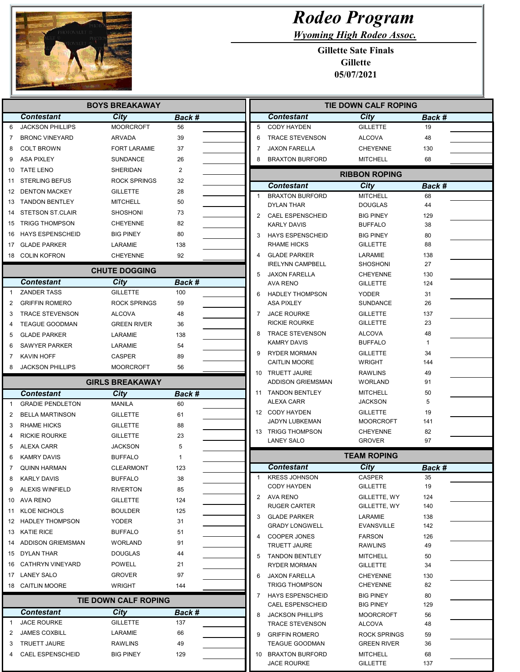

## Rodeo Program

Wyoming High Rodeo Assoc.

Gillette Sate Finals Gillette 05/07/2021

| <b>BOYS BREAKAWAY</b>               |                             |                      |              | TIE DOWN CALF ROPING                        |                                    |                     |  |
|-------------------------------------|-----------------------------|----------------------|--------------|---------------------------------------------|------------------------------------|---------------------|--|
| <b>Contestant</b>                   | City                        | Back #               |              | <b>Contestant</b>                           | City                               | Back #              |  |
| 6<br><b>JACKSON PHILLIPS</b>        | <b>MOORCROFT</b>            | 56                   | 5            | <b>CODY HAYDEN</b>                          | <b>GILLETTE</b>                    | 19                  |  |
| <b>BRONC VINEYARD</b><br>7          | ARVADA                      | 39                   | 6            | <b>TRACE STEVENSON</b>                      | <b>ALCOVA</b>                      | 48                  |  |
| <b>COLT BROWN</b><br>8              | <b>FORT LARAMIE</b>         | 37                   | 7            | <b>JAXON FARELLA</b>                        | <b>CHEYENNE</b>                    | 130                 |  |
| <b>ASA PIXLEY</b><br>9              | SUNDANCE                    | 26                   | 8            | <b>BRAXTON BURFORD</b>                      | <b>MITCHELL</b>                    | 68                  |  |
| <b>TATE LENO</b><br>10              | SHERIDAN                    | 2                    |              |                                             | <b>RIBBON ROPING</b>               |                     |  |
| STERLING BEFUS<br>11                | ROCK SPRINGS                | 32                   |              |                                             |                                    |                     |  |
| <b>DENTON MACKEY</b><br>12          | <b>GILLETTE</b>             | 28                   | $\mathbf{1}$ | <b>Contestant</b><br><b>BRAXTON BURFORD</b> | City<br><b>MITCHELL</b>            | Back #<br>68        |  |
| 13 TANDON BENTLEY                   | MITCHELL                    | 50                   |              | <b>DYLAN THAR</b>                           | <b>DOUGLAS</b>                     | 44                  |  |
| 14 STETSON ST.CLAIR                 | <b>SHOSHONI</b>             | 73                   | 2            | <b>CAEL ESPENSCHEID</b>                     | <b>BIG PINEY</b>                   | 129                 |  |
| <b>TRIGG THOMPSON</b><br>15         | <b>CHEYENNE</b>             | 82                   |              | <b>KARLY DAVIS</b>                          | <b>BUFFALO</b>                     | 38                  |  |
| 16 HAYS ESPENSCHEID                 | <b>BIG PINEY</b>            | 80                   | 3            | <b>HAYS ESPENSCHEID</b>                     | <b>BIG PINEY</b>                   | 80                  |  |
| GLADE PARKER<br>17                  | LARAMIE                     | 138                  |              | <b>RHAME HICKS</b>                          | <b>GILLETTE</b>                    | 88                  |  |
| 18 COLIN KOFRON                     | CHEYENNE                    | 92                   | 4            | <b>GLADE PARKER</b>                         | LARAMIE                            | 138                 |  |
|                                     |                             |                      |              | <b>IRELYNN CAMPBELL</b>                     | <b>SHOSHONI</b>                    | 27                  |  |
|                                     | <b>CHUTE DOGGING</b>        |                      | 5            | <b>JAXON FARELLA</b>                        | <b>CHEYENNE</b>                    | 130                 |  |
| <b>Contestant</b><br>$\overline{1}$ | City                        | Back #               |              | <b>AVA RENO</b>                             | <b>GILLETTE</b>                    | 124                 |  |
| <b>ZANDER TASS</b>                  | <b>GILLETTE</b>             | 100                  | 6            | <b>HADLEY THOMPSON</b>                      | <b>YODER</b>                       | 31                  |  |
| <b>GRIFFIN ROMERO</b><br>2          | ROCK SPRINGS                | 59                   |              | <b>ASA PIXLEY</b>                           | <b>SUNDANCE</b>                    | 26                  |  |
| <b>TRACE STEVENSON</b>              | <b>ALCOVA</b>               | 48                   | 7            | <b>JACE ROURKE</b>                          | <b>GILLETTE</b>                    | 137                 |  |
| <b>TEAGUE GOODMAN</b>               | <b>GREEN RIVER</b>          | 36                   |              | <b>RICKIE ROURKE</b>                        | <b>GILLETTE</b>                    | 23                  |  |
| <b>GLADE PARKER</b>                 | LARAMIE                     | 138                  |              | <b>TRACE STEVENSON</b>                      | <b>ALCOVA</b>                      | 48                  |  |
| <b>SAWYER PARKER</b><br>6           | LARAMIE                     | 54                   |              | <b>KAMRY DAVIS</b>                          | <b>BUFFALO</b>                     | 1                   |  |
| <b>KAVIN HOFF</b>                   | CASPER                      | 89                   | 9            | <b>RYDER MORMAN</b><br><b>CAITLIN MOORE</b> | <b>GILLETTE</b><br><b>WRIGHT</b>   | 34<br>144           |  |
| <b>JACKSON PHILLIPS</b>             | <b>MOORCROFT</b>            | 56                   |              | 10 TRUETT JAURE                             | <b>RAWLINS</b>                     |                     |  |
|                                     | <b>GIRLS BREAKAWAY</b>      |                      |              | <b>ADDISON GRIEMSMAN</b>                    | <b>WORLAND</b>                     | 49<br>91            |  |
| Contestant                          | City                        | <b>Back #</b>        |              | 11 TANDON BENTLEY                           | <b>MITCHELL</b>                    | 50                  |  |
| <b>GRADIE PENDLETON</b>             | <b>MANILA</b>               | 60                   |              | ALEXA CARR                                  | <b>JACKSON</b>                     | 5                   |  |
| <b>BELLA MARTINSON</b>              | <b>GILLETTE</b>             | 61                   |              | 12 CODY HAYDEN                              | <b>GILLETTE</b>                    | 19                  |  |
| <b>RHAME HICKS</b>                  | <b>GILLETTE</b>             |                      |              | JADYN LUBKEMAN                              | <b>MOORCROFT</b>                   | 141                 |  |
|                                     |                             | 88                   |              | 13 TRIGG THOMPSON                           | <b>CHEYENNE</b>                    | 82                  |  |
| <b>RICKIE ROURKE</b>                | <b>GILLETTE</b>             | 23                   |              | <b>LANEY SALO</b>                           | <b>GROVER</b>                      | 97                  |  |
| ALEXA CARR                          | JACKSON                     | 5                    |              |                                             | <b>TEAM ROPING</b>                 |                     |  |
| <b>KAMRY DAVIS</b>                  | <b>BUFFALO</b>              |                      |              | <b>Contestant</b>                           | City                               |                     |  |
| <b>QUINN HARMAN</b>                 | <b>CLEARMONT</b>            | 123                  | $\mathbf{1}$ | <b>KRESS JOHNSON</b>                        | CASPER                             | <b>Back #</b><br>35 |  |
| <b>KARLY DAVIS</b>                  | <b>BUFFALO</b>              | 38                   |              | <b>CODY HAYDEN</b>                          | <b>GILLETTE</b>                    | 19                  |  |
| 9 ALEXIS WINFIELD                   | <b>RIVERTON</b>             | 85                   |              | 2 AVA RENO                                  | GILLETTE, WY                       | 124                 |  |
| 10 AVA RENO                         | <b>GILLETTE</b>             | 124                  |              | <b>RUGER CARTER</b>                         | GILLETTE, WY                       | 140                 |  |
| 11 KLOE NICHOLS                     | BOULDER                     | 125                  | 3            | <b>GLADE PARKER</b>                         | LARAMIE                            | 138                 |  |
| 12 HADLEY THOMPSON                  | YODER                       | 31                   |              | <b>GRADY LONGWELL</b>                       | <b>EVANSVILLE</b>                  | 142                 |  |
| 13 KATIE RICE                       | BUFFALO                     | 51                   | 4            | <b>COOPER JONES</b>                         | <b>FARSON</b>                      | 126                 |  |
| 14 ADDISON GRIEMSMAN                | <b>WORLAND</b>              | 91                   |              | <b>TRUETT JAURE</b>                         | <b>RAWLINS</b>                     | 49                  |  |
| 15 DYLAN THAR                       | <b>DOUGLAS</b>              | 44                   | 5            | <b>TANDON BENTLEY</b>                       | <b>MITCHELL</b>                    | 50                  |  |
| 16 CATHRYN VINEYARD                 | POWELL                      | 21                   |              | <b>RYDER MORMAN</b>                         | <b>GILLETTE</b>                    | 34                  |  |
| 17 LANEY SALO                       | GROVER                      | 97                   | 6            | <b>JAXON FARELLA</b>                        | <b>CHEYENNE</b>                    | 130                 |  |
| 18 CAITLIN MOORE                    | <b>WRIGHT</b>               | 144                  |              | <b>TRIGG THOMPSON</b>                       | <b>CHEYENNE</b>                    | 82                  |  |
|                                     | <b>TIE DOWN CALF ROPING</b> |                      | 7            | <b>HAYS ESPENSCHEID</b>                     | <b>BIG PINEY</b>                   | 80                  |  |
| <b>Contestant</b>                   | City                        |                      |              | <b>CAEL ESPENSCHEID</b>                     | <b>BIG PINEY</b>                   | 129                 |  |
| <b>JACE ROURKE</b><br>-1            | GILLETTE                    | <b>Back #</b><br>137 | 8            | <b>JACKSON PHILLIPS</b>                     | <b>MOORCROFT</b>                   | 56                  |  |
| 2                                   |                             |                      |              | <b>TRACE STEVENSON</b>                      | <b>ALCOVA</b>                      | 48                  |  |
| <b>JAMES COXBILL</b><br>3           | LARAMIE                     | 66                   | 9            | <b>GRIFFIN ROMERO</b>                       | ROCK SPRINGS                       | 59                  |  |
| <b>TRUETT JAURE</b>                 | RAWLINS                     | 49                   |              | <b>TEAGUE GOODMAN</b>                       | <b>GREEN RIVER</b>                 | 36                  |  |
| <b>CAEL ESPENSCHEID</b>             | <b>BIG PINEY</b>            | 129                  |              | 10 BRAXTON BURFORD<br><b>JACE ROURKE</b>    | <b>MITCHELL</b><br><b>GILLETTE</b> | 68<br>137           |  |
|                                     |                             |                      |              |                                             |                                    |                     |  |